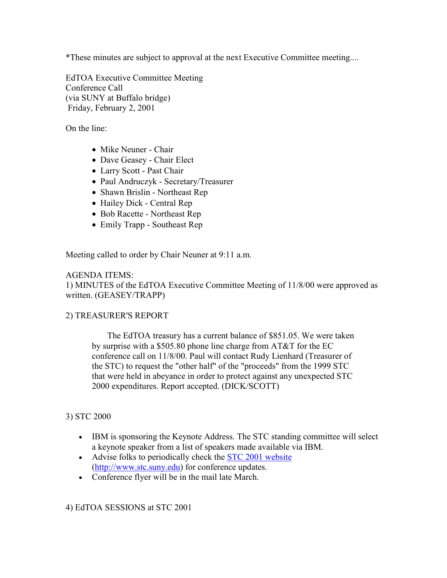\*These minutes are subject to approval at the next Executive Committee meeting....

EdTOA Executive Committee Meeting Conference Call (via SUNY at Buffalo bridge) Friday, February 2, 2001

On the line:

- Mike Neuner Chair
- Dave Geasey Chair Elect
- Larry Scott Past Chair
- Paul Andruczyk Secretary/Treasurer
- Shawn Brislin Northeast Rep
- Hailey Dick Central Rep
- Bob Racette Northeast Rep
- Emily Trapp Southeast Rep

Meeting called to order by Chair Neuner at 9:11 a.m.

## AGENDA ITEMS:

1) MINUTES of the EdTOA Executive Committee Meeting of 11/8/00 were approved as written. (GEASEY/TRAPP)

## 2) TREASURER'S REPORT

 The EdTOA treasury has a current balance of \$851.05. We were taken by surprise with a \$505.80 phone line charge from AT&T for the EC conference call on 11/8/00. Paul will contact Rudy Lienhard (Treasurer of the STC) to request the "other half" of the "proceeds" from the 1999 STC that were held in abeyance in order to protect against any unexpected STC 2000 expenditures. Report accepted. (DICK/SCOTT)

## 3) STC 2000

- IBM is sponsoring the Keynote Address. The STC standing committee will select a keynote speaker from a list of speakers made available via IBM.
- Advise folks to periodically check the **STC 2001** website (http://www.stc.suny.edu) for conference updates.
- Conference flyer will be in the mail late March.

4) EdTOA SESSIONS at STC 2001